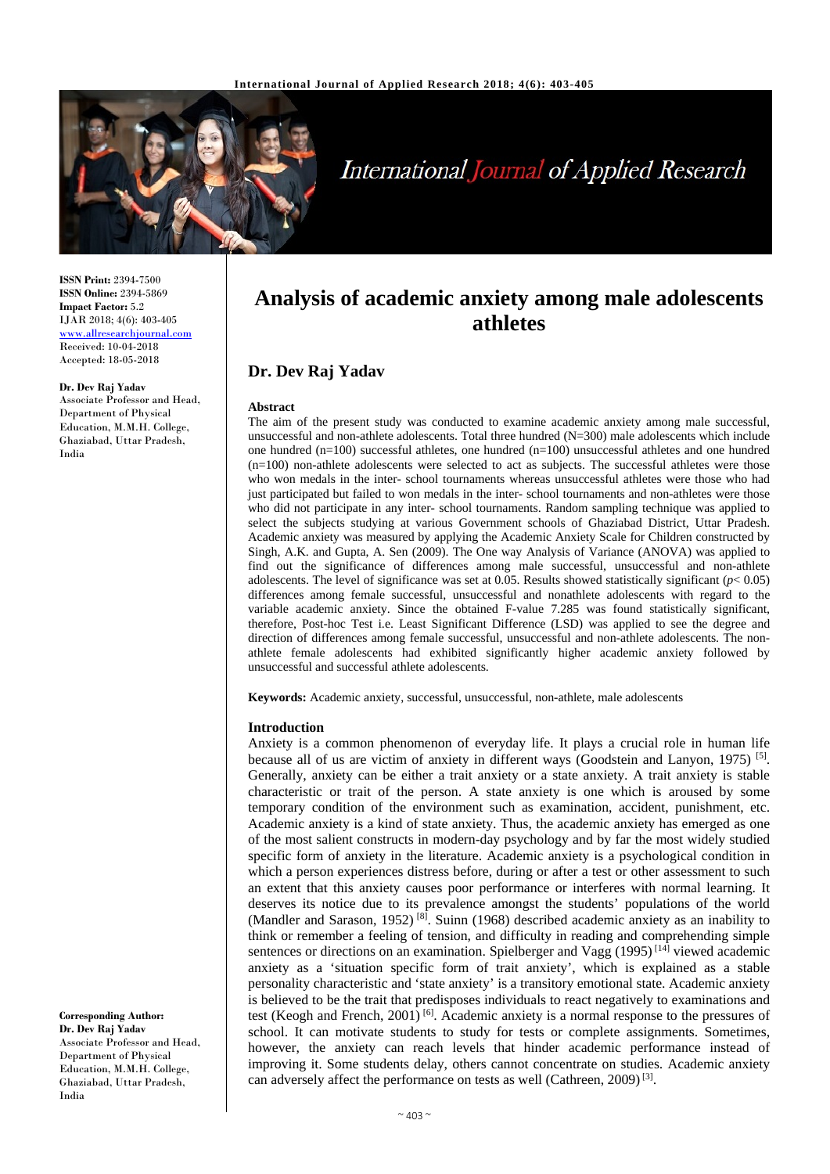

# **International Journal of Applied Research**

**ISSN Print:** 2394-7500 **ISSN Online:** 2394-5869 **Impact Factor:** 5.2 IJAR 2018; 4(6): 403-405 [www.allresearchjournal.com](http://www.allresearchjournal.com/) Received: 10-04-2018 Accepted: 18-05-2018

#### **Dr. Dev Raj Yadav**

Associate Professor and Head, Department of Physical Education, M.M.H. College, Ghaziabad, Uttar Pradesh, India

**Analysis of academic anxiety among male adolescents athletes**

# **Dr. Dev Raj Yadav**

#### **Abstract**

The aim of the present study was conducted to examine academic anxiety among male successful, unsuccessful and non-athlete adolescents. Total three hundred (N=300) male adolescents which include one hundred  $(n=100)$  successful athletes, one hundred  $(n=100)$  unsuccessful athletes and one hundred (n=100) non-athlete adolescents were selected to act as subjects. The successful athletes were those who won medals in the inter- school tournaments whereas unsuccessful athletes were those who had just participated but failed to won medals in the inter- school tournaments and non-athletes were those who did not participate in any inter- school tournaments. Random sampling technique was applied to select the subjects studying at various Government schools of Ghaziabad District, Uttar Pradesh. Academic anxiety was measured by applying the Academic Anxiety Scale for Children constructed by Singh, A.K. and Gupta, A. Sen (2009). The One way Analysis of Variance (ANOVA) was applied to find out the significance of differences among male successful, unsuccessful and non-athlete adolescents. The level of significance was set at 0.05. Results showed statistically significant (*p*< 0.05) differences among female successful, unsuccessful and nonathlete adolescents with regard to the variable academic anxiety. Since the obtained F-value 7.285 was found statistically significant, therefore, Post-hoc Test i.e. Least Significant Difference (LSD) was applied to see the degree and direction of differences among female successful, unsuccessful and non-athlete adolescents. The nonathlete female adolescents had exhibited significantly higher academic anxiety followed by unsuccessful and successful athlete adolescents.

**Keywords:** Academic anxiety, successful, unsuccessful, non-athlete, male adolescents

#### **Introduction**

Anxiety is a common phenomenon of everyday life. It plays a crucial role in human life because all of us are victim of anxiety in different ways (Goodstein and Lanyon, 1975) <sup>[5]</sup>. Generally, anxiety can be either a trait anxiety or a state anxiety. A trait anxiety is stable characteristic or trait of the person. A state anxiety is one which is aroused by some temporary condition of the environment such as examination, accident, punishment, etc. Academic anxiety is a kind of state anxiety. Thus, the academic anxiety has emerged as one of the most salient constructs in modern-day psychology and by far the most widely studied specific form of anxiety in the literature. Academic anxiety is a psychological condition in which a person experiences distress before, during or after a test or other assessment to such an extent that this anxiety causes poor performance or interferes with normal learning. It deserves its notice due to its prevalence amongst the students' populations of the world (Mandler and Sarason, 1952)  $[8]$ . Suinn (1968) described academic anxiety as an inability to think or remember a feeling of tension, and difficulty in reading and comprehending simple sentences or directions on an examination. Spielberger and Vagg  $(1995)^{[14]}$  viewed academic anxiety as a 'situation specific form of trait anxiety', which is explained as a stable personality characteristic and 'state anxiety' is a transitory emotional state. Academic anxiety is believed to be the trait that predisposes individuals to react negatively to examinations and test (Keogh and French, 2001)  $^{[6]}$ . Academic anxiety is a normal response to the pressures of school. It can motivate students to study for tests or complete assignments. Sometimes, however, the anxiety can reach levels that hinder academic performance instead of improving it. Some students delay, others cannot concentrate on studies. Academic anxiety can adversely affect the performance on tests as well (Cathreen, 2009)<sup>[3]</sup>.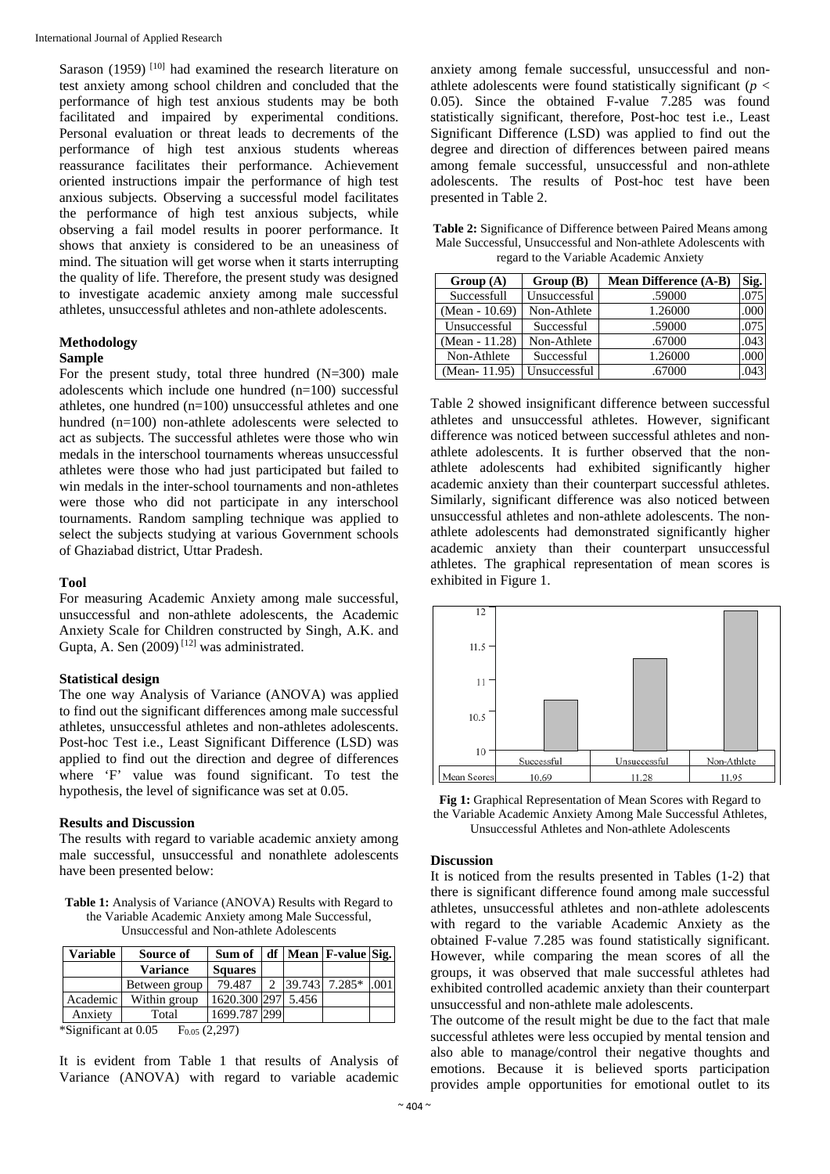Sarason (1959)<sup> $[10]$ </sup> had examined the research literature on test anxiety among school children and concluded that the performance of high test anxious students may be both facilitated and impaired by experimental conditions. Personal evaluation or threat leads to decrements of the performance of high test anxious students whereas reassurance facilitates their performance. Achievement oriented instructions impair the performance of high test anxious subjects. Observing a successful model facilitates the performance of high test anxious subjects, while observing a fail model results in poorer performance. It shows that anxiety is considered to be an uneasiness of mind. The situation will get worse when it starts interrupting the quality of life. Therefore, the present study was designed to investigate academic anxiety among male successful athletes, unsuccessful athletes and non-athlete adolescents.

# **Methodology**

# **Sample**

For the present study, total three hundred  $(N=300)$  male adolescents which include one hundred (n=100) successful athletes, one hundred (n=100) unsuccessful athletes and one hundred (n=100) non-athlete adolescents were selected to act as subjects. The successful athletes were those who win medals in the interschool tournaments whereas unsuccessful athletes were those who had just participated but failed to win medals in the inter-school tournaments and non-athletes were those who did not participate in any interschool tournaments. Random sampling technique was applied to select the subjects studying at various Government schools of Ghaziabad district, Uttar Pradesh.

#### **Tool**

For measuring Academic Anxiety among male successful, unsuccessful and non-athlete adolescents, the Academic Anxiety Scale for Children constructed by Singh, A.K. and Gupta, A. Sen  $(2009)^{[12]}$  was administrated.

#### **Statistical design**

The one way Analysis of Variance (ANOVA) was applied to find out the significant differences among male successful athletes, unsuccessful athletes and non-athletes adolescents. Post-hoc Test i.e., Least Significant Difference (LSD) was applied to find out the direction and degree of differences where 'F' value was found significant. To test the hypothesis, the level of significance was set at 0.05.

#### **Results and Discussion**

The results with regard to variable academic anxiety among male successful, unsuccessful and nonathlete adolescents have been presented below:

**Table 1:** Analysis of Variance (ANOVA) Results with Regard to the Variable Academic Anxiety among Male Successful, Unsuccessful and Non-athlete Adolescents

| <b>Variable</b> | Source of              | Sum of             |               | $df$ Mean F-value Sig. |      |
|-----------------|------------------------|--------------------|---------------|------------------------|------|
|                 | <b>Variance</b>        | <b>Squares</b>     |               |                        |      |
|                 | Between group          | 79.487             | $\mathcal{D}$ | 39.743 7.285*          | .001 |
| Academic        | Within group           | 1620.300 297 5.456 |               |                        |      |
| Anxiety         | Total                  | 1699.787 299       |               |                        |      |
|                 | $*0!10+1005$ $E(2007)$ |                    |               |                        |      |

\*Significant at  $0.05$  F<sub>0.05</sub> (2,297)

It is evident from Table 1 that results of Analysis of Variance (ANOVA) with regard to variable academic anxiety among female successful, unsuccessful and nonathlete adolescents were found statistically significant ( $p <$ 0.05). Since the obtained F-value 7.285 was found statistically significant, therefore, Post-hoc test i.e., Least Significant Difference (LSD) was applied to find out the degree and direction of differences between paired means among female successful, unsuccessful and non-athlete adolescents. The results of Post-hoc test have been presented in Table 2.

**Table 2:** Significance of Difference between Paired Means among Male Successful, Unsuccessful and Non-athlete Adolescents with regard to the Variable Academic Anxiety

| Group(A)       | Group(B)     | <b>Mean Difference (A-B)</b> | Sig. |
|----------------|--------------|------------------------------|------|
| Successfull    | Unsuccessful | .59000                       | .075 |
| (Mean - 10.69) | Non-Athlete  | 1.26000                      | .000 |
| Unsuccessful   | Successful   | .59000                       | .075 |
| (Mean - 11.28) | Non-Athlete  | .67000                       | .043 |
| Non-Athlete    | Successful   | 1.26000                      | .000 |
| (Mean-11.95)   | Unsuccessful | .67000                       | 043  |

Table 2 showed insignificant difference between successful athletes and unsuccessful athletes. However, significant difference was noticed between successful athletes and nonathlete adolescents. It is further observed that the nonathlete adolescents had exhibited significantly higher academic anxiety than their counterpart successful athletes. Similarly, significant difference was also noticed between unsuccessful athletes and non-athlete adolescents. The nonathlete adolescents had demonstrated significantly higher academic anxiety than their counterpart unsuccessful athletes. The graphical representation of mean scores is exhibited in Figure 1.



**Fig 1:** Graphical Representation of Mean Scores with Regard to the Variable Academic Anxiety Among Male Successful Athletes, Unsuccessful Athletes and Non-athlete Adolescents

#### **Discussion**

It is noticed from the results presented in Tables (1-2) that there is significant difference found among male successful athletes, unsuccessful athletes and non-athlete adolescents with regard to the variable Academic Anxiety as the obtained F-value 7.285 was found statistically significant. However, while comparing the mean scores of all the groups, it was observed that male successful athletes had exhibited controlled academic anxiety than their counterpart unsuccessful and non-athlete male adolescents.

The outcome of the result might be due to the fact that male successful athletes were less occupied by mental tension and also able to manage/control their negative thoughts and emotions. Because it is believed sports participation provides ample opportunities for emotional outlet to its